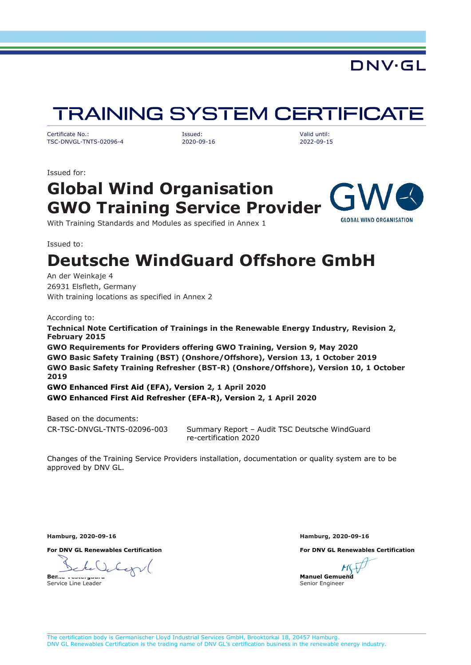## DNV·GL

# **TRAINING SYSTEM CERTIFICATE**

<span id="page-0-0"></span>Certificate No.: Issued: Valid until: TSC-DNVGL-TNTS-02096-4 2020-09-16 2022-09-15

Issued for:

### **Global Wind Organisation GWO Training Service Provider GLOBAL WIND ORGANISATION**

With Training Standards and Modules as specified in Annex 1

Issued to:

# **Deutsche WindGuard Offshore GmbH**

An der Weinkaje 4 26931 Elsfleth, Germany With training locations as specified in Annex 2

According to:

**Technical Note Certification of Trainings in the Renewable Energy Industry, Revision 2, February 2015 GWO Requirements for Providers offering GWO Training, Version 9, May 2020 GWO Basic Safety Training (BST) (Onshore/Offshore), Version 13, 1 October 2019 GWO Basic Safety Training Refresher (BST-R) (Onshore/Offshore), Version 10, 1 October 2019 GWO Enhanced First Aid (EFA), Version 2, 1 April 2020 GWO Enhanced First Aid Refresher (EFA-R), Version 2, 1 April 2020**

Based on the documents:

CR-TSC-DNVGL-TNTS-02096-003 Summary Report – Audit TSC Deutsche WindGuard re-certification 2020

Changes of the Training Service Providers installation, documentation or quality system are to be approved by DNV GL.

**Hamburg, 2020-09-16 Hamburg, 2020-09-16**

**For DNV GL Renewables Certification For DNV GL Renewables Certification**

**Bente** Service Line Leader

**Manuel Gemuend** Senior Engineer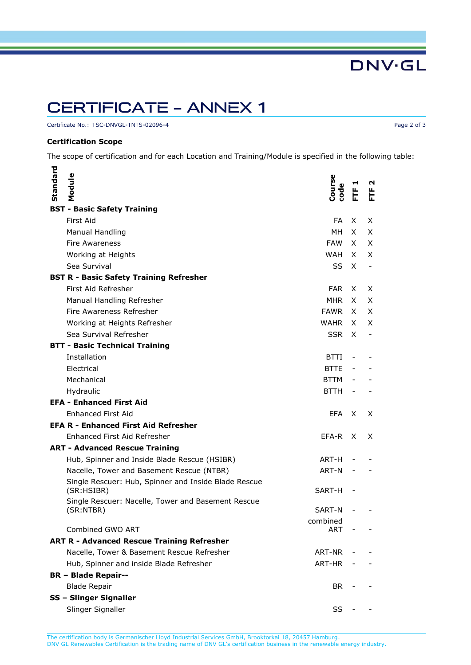## **CERTIFICATE - ANNEX 1**

Certificate No.: [TSC-DNVGL-TNTS-02096-4](#page-0-0) Page 2 of 3

### **Certification Scope**

The scope of certification and for each Location and Training/Module is specified in the following table:

| Standard                                          | Module                                                             | Course<br>code | 눈      | N<br>上 |
|---------------------------------------------------|--------------------------------------------------------------------|----------------|--------|--------|
| <b>BST - Basic Safety Training</b>                |                                                                    |                |        |        |
|                                                   | First Aid                                                          | FA             | X.     | X      |
|                                                   | Manual Handling                                                    | MН             | X.     | X      |
|                                                   | Fire Awareness                                                     | FAW            | X.     | X      |
|                                                   | Working at Heights                                                 | WAH            | X      | X.     |
|                                                   | Sea Survival                                                       | SS             | X      |        |
| <b>BST R - Basic Safety Training Refresher</b>    |                                                                    |                |        |        |
|                                                   | First Aid Refresher                                                | FAR.           | X.     | X      |
|                                                   | Manual Handling Refresher                                          | MHR            | X.     | X      |
|                                                   | Fire Awareness Refresher                                           | <b>FAWR</b>    | X.     | X      |
|                                                   | Working at Heights Refresher                                       | WAHR           | X      | X      |
|                                                   | Sea Survival Refresher                                             | <b>SSR</b>     | X      |        |
| <b>BTT - Basic Technical Training</b>             |                                                                    |                |        |        |
|                                                   | Installation                                                       | <b>BTTI</b>    |        |        |
|                                                   | Electrical                                                         | <b>BTTE</b>    |        |        |
|                                                   | Mechanical                                                         | BTTM           |        |        |
|                                                   | Hydraulic                                                          | <b>BTTH</b>    |        |        |
|                                                   | <b>EFA - Enhanced First Aid</b>                                    |                |        |        |
|                                                   | Enhanced First Aid                                                 | EFA.           | X      | X      |
|                                                   | <b>EFA R - Enhanced First Aid Refresher</b>                        |                |        |        |
|                                                   | Enhanced First Aid Refresher                                       | EFA-R          | X      | X      |
| <b>ART - Advanced Rescue Training</b>             |                                                                    |                |        |        |
|                                                   | Hub, Spinner and Inside Blade Rescue (HSIBR)                       | ART-H          |        |        |
|                                                   | Nacelle, Tower and Basement Rescue (NTBR)                          | ART-N          |        |        |
|                                                   | Single Rescuer: Hub, Spinner and Inside Blade Rescue<br>(SR:HSIBR) | SART-H         |        |        |
|                                                   | Single Rescuer: Nacelle, Tower and Basement Rescue<br>(SR:NTBR)    | SART-N         |        |        |
|                                                   |                                                                    | combined       |        |        |
|                                                   | Combined GWO ART                                                   | ART            | $\sim$ |        |
| <b>ART R - Advanced Rescue Training Refresher</b> |                                                                    |                |        |        |
|                                                   | Nacelle, Tower & Basement Rescue Refresher                         | ART-NR         |        |        |
|                                                   | Hub, Spinner and inside Blade Refresher                            | ART-HR         |        |        |
|                                                   | <b>BR - Blade Repair--</b>                                         |                |        |        |
|                                                   | <b>Blade Repair</b>                                                | BR.            |        |        |
|                                                   | SS - Slinger Signaller                                             |                |        |        |
|                                                   | Slinger Signaller                                                  | SS             |        |        |

**DNV·GL**